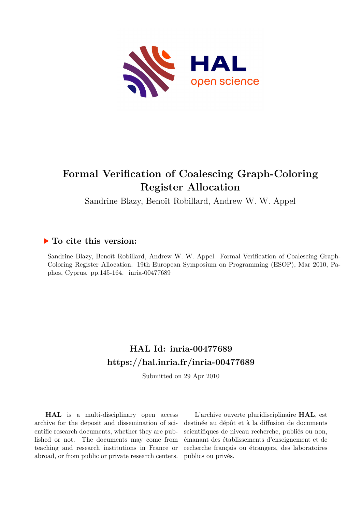

# **Formal Verification of Coalescing Graph-Coloring Register Allocation**

Sandrine Blazy, Benoît Robillard, Andrew W. W. Appel

## **To cite this version:**

Sandrine Blazy, Benoît Robillard, Andrew W. W. Appel. Formal Verification of Coalescing Graph-Coloring Register Allocation. 19th European Symposium on Programming (ESOP), Mar 2010, Paphos, Cyprus. pp.145-164. inria-00477689

# **HAL Id: inria-00477689 <https://hal.inria.fr/inria-00477689>**

Submitted on 29 Apr 2010

**HAL** is a multi-disciplinary open access archive for the deposit and dissemination of scientific research documents, whether they are published or not. The documents may come from teaching and research institutions in France or abroad, or from public or private research centers.

L'archive ouverte pluridisciplinaire **HAL**, est destinée au dépôt et à la diffusion de documents scientifiques de niveau recherche, publiés ou non, émanant des établissements d'enseignement et de recherche français ou étrangers, des laboratoires publics ou privés.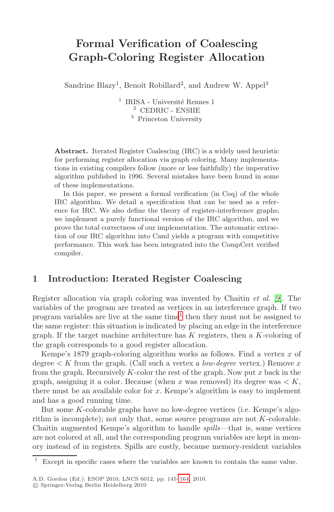## Formal Verification of Coalescing Graph-Coloring Register Allocation

Sandrine Blazy<sup>1</sup>, Benoît Robillard<sup>2</sup>, and Andrew W. Appel<sup>3</sup>

 $^{\rm 1}$ IRISA - Université Rennes 1 <sup>2</sup> CEDRIC - ENSIIE <sup>3</sup> Princeton University

Abstract. Iterated Register Coalescing (IRC) is a widely used heuristic for performing register allocation via graph coloring. Many implementations in existing compilers follow (more or less faithfully) the imperative algorithm published in 1996. Several mistakes have been found in some of these implementations.

In this paper, we present a formal verification (in Coq) of the whole IRC algorithm. We detail a specification that can be used as a reference for IRC. We also define the theory of register-interference graphs; we implement a purely functional version of the IRC algorithm, and we prove the total correctness of our implementation. The automatic extraction of our IRC algorithm into Caml yields a program with competitive performance. This work has been integrated into the CompCert verified compiler.

## 1 Introduction: Iterated Register Coalescing

Register allocation via graph coloring was invented by Chaitin et al. [\[9\]](#page-20-1). The variables of the program are treated as vertices in an interference graph. If two program variables are live at the same time<sup>[1](#page-1-0)</sup> then they must not be assigned to the same register: this situation is indicated by placing an edge in the interference graph. If the target machine architecture has  $K$  registers, then a  $K$ -coloring of the graph corresponds to a good register allocation.

Kempe's 1879 graph-coloring algorithm works as follows. Find a vertex  $x$  of degree  $\lt K$  from the graph. (Call such a vertex a *low-degree* vertex.) Remove x from the graph. Recursively  $K$ -color the rest of the graph. Now put x back in the graph, assigning it a color. Because (when x was removed) its degree was  $\lt K$ . there must be an available color for  $x$ . Kempe's algorithm is easy to implement and has a good running time.

<span id="page-1-0"></span>But some K-colorable graphs have no low-degree vertices (i.e. Kempe's algorithm is incomplete); not only that, some source programs are not K-colorable. Chaitin augmented Kempe's algorithm to handle spills—that is, some vertices are not colored at all, and the corresponding program variables are kept in memory instead of in registers. Spills are costly, because memory-resident variables

Except in specific cases where the variables are known to contain the same value.

A.D. Gordon (Ed.): ESOP 2010, LNCS 6012, pp. 145[–164,](#page-20-0) 2010. !c Springer-Verlag Berlin Heidelberg 2010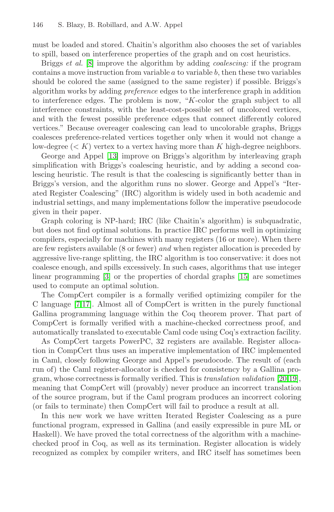must be loaded and stored. Chaitin's algorithm also chooses the set of variables to spill, based on interference properties of the graph and on cost heuristics.

Briggs et al. [\[8\]](#page-20-3) improve the algorithm by adding coalescing: if the program contains a move instruction from variable  $a$  to variable  $b$ , then these two variables should be colored the same (assigned to the same register) if possible. Briggs's algorithm works by adding preference edges to the interference graph in addition to interference edges. The problem is now, "K-color the graph subject to all interference constraints, with the least-cost-possible set of uncolored vertices, and with the fewest possible preference edges that connect differently colored vertices." Because overeager coalescing can lead to uncolorable graphs, Briggs coalesces preference-related vertices together only when it would not change a low-degree  $\left\langle \langle K \rangle \right\rangle$  vertex to a vertex having more than K high-degree neighbors.

George and Appel [\[13\]](#page-20-4) improve on Briggs's algorithm by interleaving graph simplification with Briggs's coalescing heuristic, and by adding a second coalescing heuristic. The result is that the coalescing is significantly better than in Briggs's version, and the algorithm runs no slower. George and Appel's "Iterated Register Coalescing" (IRC) algorithm is widely used in both academic and industrial settings, and many implementations follow the imperative pseudocode given in their paper.

Graph coloring is NP-hard; IRC (like Chaitin's algorithm) is subquadratic, but does not find optimal solutions. In practice IRC performs well in optimizing compilers, especially for machines with many registers (16 or more). When there are few registers available (8 or fewer) and when register allocation is preceded by aggressive live-range splitting, the IRC algorithm is too conservative: it does not coalesce enough, and spills excessively. In such cases, algorithms that use integer linear programming [\[3\]](#page-20-5) or the properties of chordal graphs [\[15\]](#page-20-6) are sometimes used to compute an optimal solution.

The CompCert compiler is a formally verified optimizing compiler for the C language [\[7,](#page-20-7)[17\]](#page-20-8). Almost all of CompCert is written in the purely functional Gallina programming language within the Coq theorem prover. That part of CompCert is formally verified with a machine-checked correctness proof, and automatically translated to executable Caml code using Coq's extraction facility.

As CompCert targets PowerPC, 32 registers are available. Register allocation in CompCert thus uses an imperative implementation of IRC implemented in Caml, closely following George and Appel's pseudocode. The result of (each run of) the Caml register-allocator is checked for consistency by a Gallina program, whose correctness is formally verified. This is *translation validation* [\[20](#page-20-9)[,19\]](#page-20-2), meaning that CompCert will (provably) never produce an incorrect translation of the source program, but if the Caml program produces an incorrect coloring (or fails to terminate) then CompCert will fail to produce a result at all.

In this new work we have written Iterated Register Coalescing as a pure functional program, expressed in Gallina (and easily expressible in pure ML or Haskell). We have proved the total correctness of the algorithm with a machinechecked proof in Coq, as well as its termination. Register allocation is widely recognized as complex by compiler writers, and IRC itself has sometimes been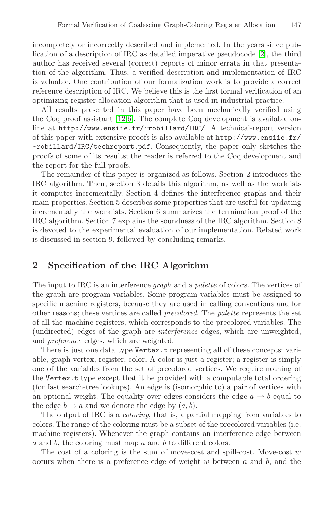incompletely or incorrectly described and implemented. In the years since publication of a description of IRC as detailed imperative pseudocode [\[2\]](#page-19-0), the third author has received several (correct) reports of minor errata in that presentation of the algorithm. Thus, a verified description and implementation of IRC is valuable. One contribution of our formalization work is to provide a correct reference description of IRC. We believe this is the first formal verification of an optimizing register allocation algorithm that is used in industrial practice.

All results presented in this paper have been mechanically verified using the Coq proof assistant [\[12](#page-20-10)[,6\]](#page-20-11). The complete Coq development is available online at <http://www.ensiie.fr/~robillard/IRC/>. A technical-report version of this paper with extensive proofs is also available at [http://www.ensiie.fr/](http://www.ensiie.fr/~robillard/IRC/techreport.pdf) [~robillard/IRC/techreport.pdf](http://www.ensiie.fr/~robillard/IRC/techreport.pdf). Consequently, the paper only sketches the proofs of some of its results; the reader is referred to the Coq development and the report for the full proofs.

The remainder of this paper is organized as follows. Section 2 introduces the IRC algorithm. Then, section 3 details this algorithm, as well as the worklists it computes incrementally. Section 4 defines the interference graphs and their main properties. Section 5 describes some properties that are useful for updating incrementally the worklists. Section 6 summarizes the termination proof of the IRC algorithm. Section 7 explains the soundness of the IRC algorithm. Section 8 is devoted to the experimental evaluation of our implementation. Related work is discussed in section 9, followed by concluding remarks.

## 2 Specification of the IRC Algorithm

The input to IRC is an interference *graph* and a *palette* of colors. The vertices of the graph are program variables. Some program variables must be assigned to specific machine registers, because they are used in calling conventions and for other reasons; these vertices are called precolored. The palette represents the set of all the machine registers, which corresponds to the precolored variables. The (undirected) edges of the graph are interference edges, which are unweighted, and preference edges, which are weighted.

There is just one data type Vertex.t representing all of these concepts: variable, graph vertex, register, color. A color is just a register; a register is simply one of the variables from the set of precolored vertices. We require nothing of the Vertex.t type except that it be provided with a computable total ordering (for fast search-tree lookups). An edge is (isomorphic to) a pair of vertices with an optional weight. The equality over edges considers the edge  $a \rightarrow b$  equal to the edge  $b \rightarrow a$  and we denote the edge by  $(a, b)$ .

The output of IRC is a *coloring*, that is, a partial mapping from variables to colors. The range of the coloring must be a subset of the precolored variables (i.e. machine registers). Whenever the graph contains an interference edge between a and b, the coloring must map a and b to different colors.

The cost of a coloring is the sum of move-cost and spill-cost. Move-cost  $w$ occurs when there is a preference edge of weight  $w$  between  $a$  and  $b$ , and the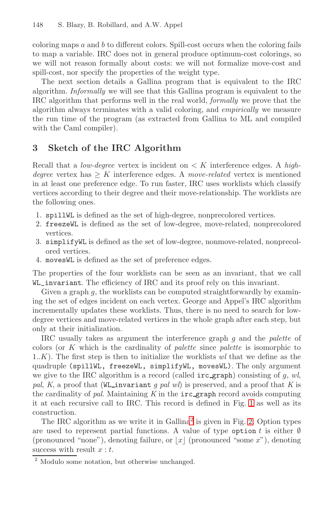coloring maps  $a$  and  $b$  to different colors. Spill-cost occurs when the coloring fails to map a variable. IRC does not in general produce optimum-cost colorings, so we will not reason formally about costs: we will not formalize move-cost and spill-cost, nor specify the properties of the weight type.

The next section details a Gallina program that is equivalent to the IRC algorithm. Informally we will see that this Gallina program is equivalent to the IRC algorithm that performs well in the real world, formally we prove that the algorithm always terminates with a valid coloring, and empirically we measure the run time of the program (as extracted from Gallina to ML and compiled with the Caml compiler).

## 3 Sketch of the IRC Algorithm

Recall that a *low-degree* vertex is incident on  $\lt K$  interference edges. A *high*degree vertex has  $\geq K$  interference edges. A move-related vertex is mentioned in at least one preference edge. To run faster, IRC uses worklists which classify vertices according to their degree and their move-relationship. The worklists are the following ones.

- 1. spillWL is defined as the set of high-degree, nonprecolored vertices.
- 2. freezeWL is defined as the set of low-degree, move-related, nonprecolored vertices.
- 3. simplifyWL is defined as the set of low-degree, nonmove-related, nonprecolored vertices.
- 4. movesWL is defined as the set of preference edges.

The properties of the four worklists can be seen as an invariant, that we call WL\_invariant. The efficiency of IRC and its proof rely on this invariant.

Given a graph  $g$ , the worklists can be computed straightforwardly by examining the set of edges incident on each vertex. George and Appel's IRC algorithm incrementally updates these worklists. Thus, there is no need to search for lowdegree vertices and move-related vertices in the whole graph after each step, but only at their initialization.

IRC usually takes as argument the interference graph g and the palette of colors (or  $K$  which is the cardinality of *palette* since *palette* is isomorphic to  $1..K$ ). The first step is then to initialize the worklists wl that we define as the quadruple (spillWL, freezeWL, simplifyWL, movesWL). The only argument we give to the IRC algorithm is a record (called  $irc\text{-graph}$ ) consisting of g, wl, pal, K, a proof that (WL invariant q pal wl) is preserved, and a proof that K is the cardinality of pal. Maintaining  $K$  in the  $irc\_graph$  record avoids computing it at each recursive call to IRC. This record is defined in Fig. [1](#page-5-1) as well as its construction.

<span id="page-4-0"></span>The IRC algorithm as we write it in  $\text{Gallina}^2$  $\text{Gallina}^2$  is given in Fig. [2.](#page-5-0) Option types are used to represent partial functions. A value of type option t is either  $\emptyset$ (pronounced "none"), denoting failure, or  $|x|$  (pronounced "some x"), denoting success with result  $x : t$ .

<sup>2</sup> Modulo some notation, but otherwise unchanged.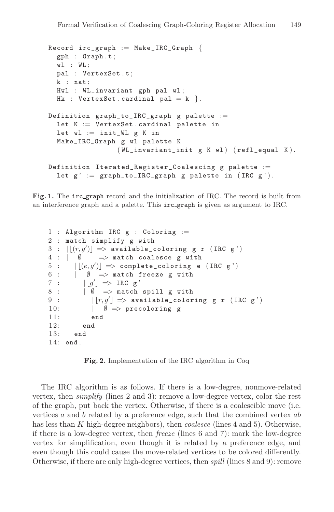```
\texttt{Record} irc_graph := Make_IRC_Graph {
  gph : Graph . t ;
  w1 : WL;
  pal : VertexSet.t;
  k : nat ;
  Hwl : WL_invariant gph pal wl;
  Hk : VertexSet.cardinal pal = k }.
Definition graph_to_IRC_graph g palette :=
  let K := VertexSet . cardinal palette in
  let wl := init<sub>WL</sub> g K in
  Make_IRC_Graph g wl palette K
                 ( WL_invariant_init g K wl ) ( refl_equal K ) .
Definition Iterated_Register_Coalescing g palette :=
  let g' := graph_to_IRC\_graph g palette in (IRC g').
```
Fig. 1. The irc graph record and the initialization of IRC. The record is built from an interference graph and a palette. This irc graph is given as argument to IRC.

```
1 : Algorithm IRC g : Coloring :=2 : match simplify g with
3 : \left| \left[ \left( r,g' \right) \right] \right| \Rightarrow available_coloring g r (IRC g')
4 : | \emptyset \implies \text{match} coalesce g with
5 : | \lfloor (e,g') \rfloor \Rightarrow complete_coloring e (IRC g')
6 : \vert \quad \emptyset \quad \Rightarrow match freeze g with
7 :\text{if } \Rightarrow \text{IRC } \text{g'}8 : \vert \emptyset \rangle => match spill g with
9 : | [r, g'] \Rightarrow available_coloring g r (IRC g')
10: \emptyset \Rightarrow precoloring g
11: end
12: end
13: end
14: end .
```
Fig. 2. Implementation of the IRC algorithm in Coq

The IRC algorithm is as follows. If there is a low-degree, nonmove-related vertex, then simplify (lines 2 and 3): remove a low-degree vertex, color the rest of the graph, put back the vertex. Otherwise, if there is a coalescible move (i.e. vertices  $a$  and  $b$  related by a preference edge, such that the combined vertex  $ab$ has less than  $K$  high-degree neighbors), then *coalesce* (lines  $4$  and  $5$ ). Otherwise, if there is a low-degree vertex, then freeze (lines 6 and 7): mark the low-degree vertex for simplification, even though it is related by a preference edge, and even though this could cause the move-related vertices to be colored differently. Otherwise, if there are only high-degree vertices, then spill (lines 8 and 9): remove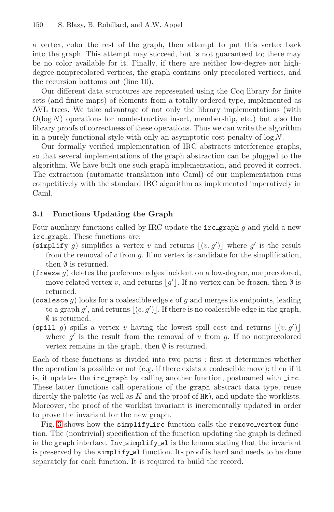a vertex, color the rest of the graph, then attempt to put this vertex back into the graph. This attempt may succeed, but is not guaranteed to; there may be no color available for it. Finally, if there are neither low-degree nor highdegree nonprecolored vertices, the graph contains only precolored vertices, and the recursion bottoms out (line 10).

Our different data structures are represented using the Coq library for finite sets (and finite maps) of elements from a totally ordered type, implemented as AVL trees. We take advantage of not only the library implementations (with  $O(\log N)$  operations for nondestructive insert, membership, etc.) but also the library proofs of correctness of these operations. Thus we can write the algorithm in a purely functional style with only an asymptotic cost penalty of  $\log N$ .

Our formally verified implementation of IRC abstracts interference graphs, so that several implementations of the graph abstraction can be plugged to the algorithm. We have built one such graph implementation, and proved it correct. The extraction (automatic translation into Caml) of our implementation runs competitively with the standard IRC algorithm as implemented imperatively in Caml.

#### 3.1 Functions Updating the Graph

Four auxiliary functions called by IRC update the  $irc\_graph\ g$  and yield a new irc graph. These functions are:

- (simplify g) simplifies a vertex v and returns  $[(v, g')]$  where g' is the result from the removal of  $v$  from  $g$ . If no vertex is candidate for the simplification, then  $\emptyset$  is returned.
- (freeze g) deletes the preference edges incident on a low-degree, nonprecolored, move-related vertex v, and returns  $[g']$ . If no vertex can be frozen, then  $\emptyset$  is returned.
- (coalesce g) looks for a coalescible edge  $e$  of g and merges its endpoints, leading to a graph  $g'$ , and returns  $\lfloor (e, g') \rfloor$ . If there is no coalescible edge in the graph, ∅ is returned.
- (spill g) spills a vertex v having the lowest spill cost and returns  $[(v, g')]$ where  $g'$  is the result from the removal of v from  $g$ . If no nonprecolored vertex remains in the graph, then  $\emptyset$  is returned.

Each of these functions is divided into two parts : first it determines whether the operation is possible or not (e.g. if there exists a coalescible move); then if it is, it updates the irc graph by calling another function, postnamed with irc. These latter functions call operations of the graph abstract data type, reuse directly the palette (as well as  $K$  and the proof of  $HK$ ), and update the worklists. Moreover, the proof of the worklist invariant is incrementally updated in order to prove the invariant for the new graph.

Fig. [3](#page-7-0) shows how the simplify irc function calls the remove vertex function. The (nontrivial) specification of the function updating the graph is defined in the graph interface. Inv simplify wl is the lemma stating that the invariant is preserved by the simplify wl function. Its proof is hard and needs to be done separately for each function. It is required to build the record.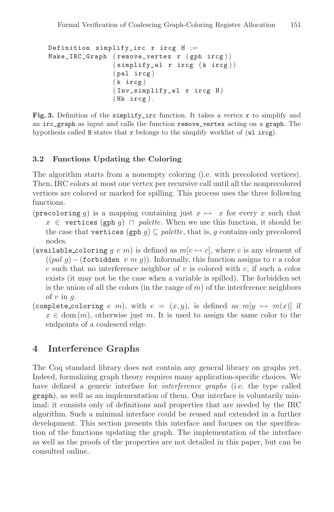```
Definition simplify_irc r ircg H :=Make_IRC_Graph (remove_vertex r (gph ircg))
                (simplify_w1 r ircg (k ircg))( pal ircg )
                (k ircg)
                ( Inv_simplify_wl r ircg H )
                ( Hk ircg ) .
```
Fig. 3. Definition of the simplify\_irc function. It takes a vertex r to simplify and an irc\_graph as input and calls the function remove\_vertex acting on a graph. The hypothesis called H states that  $r$  belongs to the simplify worklist of  $(\forall l$  ircg).

## 3.2 Functions Updating the Coloring

The algorithm starts from a nonempty coloring (i.e. with precolored vertices). Then, IRC colors at most one vertex per recursive call until all the nonprecolored vertices are colored or marked for spilling. This process uses the three following functions.

- (precoloring g) is a mapping containing just  $x \mapsto x$  for every x such that  $x \in$  vertices (gph g)  $\cap$  palette. When we use this function, it should be the case that vertices  $(\text{gph } g) \subseteq \text{valette}$ , that is, g contains only precolored nodes.
- (available coloring q v m) is defined as  $m[v \mapsto c]$ , where c is any element of  $((pal\ q) – (forbidden\ v\ m\ q)).$  Informally, this function assigns to v a color c such that no interference neighbor of v is colored with c, if such a color exists (it may not be the case when a variable is spilled). The forbidden set is the union of all the colors (in the range of  $m$ ) of the interference neighbors of  $v$  in  $q$ .
- (complete coloring e m), with  $e = (x, y)$ , is defined as  $m[y \mapsto m(x)]$  if  $x \in \text{dom}(m)$ , otherwise just m. It is used to assign the same color to the endpoints of a coalesced edge.

## 4 Interference Graphs

The Coq standard library does not contain any general library on graphs yet. Indeed, formalizing graph theory requires many application-specific choices. We have defined a generic interface for *interference graphs* (i.e. the type called graph), as well as an implementation of them. Our interface is voluntarily minimal: it consists only of definitions and properties that are needed by the IRC algorithm. Such a minimal interface could be reused and extended in a further development. This section presents this interface and focuses on the specification of the functions updating the graph. The implementation of the interface as well as the proofs of the properties are not detailed in this paper, but can be consulted online.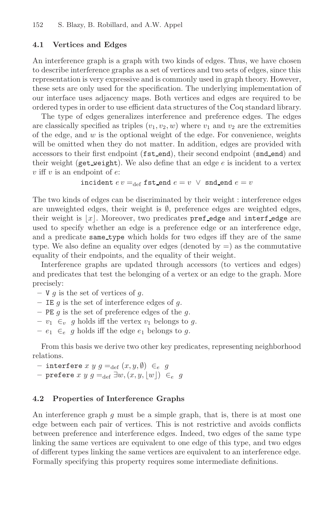#### 4.1 Vertices and Edges

An interference graph is a graph with two kinds of edges. Thus, we have chosen to describe interference graphs as a set of vertices and two sets of edges, since this representation is very expressive and is commonly used in graph theory. However, these sets are only used for the specification. The underlying implementation of our interface uses adjacency maps. Both vertices and edges are required to be ordered types in order to use efficient data structures of the Coq standard library.

The type of edges generalizes interference and preference edges. The edges are classically specified as triples  $(v_1, v_2, w)$  where  $v_1$  and  $v_2$  are the extremities of the edge, and  $w$  is the optional weight of the edge. For convenience, weights will be omitted when they do not matter. In addition, edges are provided with accessors to their first endpoint (fst end), their second endpoint (snd end) and their weight ( $get-weight$ ). We also define that an edge  $e$  is incident to a vertex  $v$  iff  $v$  is an endpoint of  $e$ :

$$
\mathtt{incident}\; e\, v =_{\mathrm{def}} \mathtt{fst\_end}\; e = v \;\vee\; \mathtt{snd\_end}\; e = v
$$

The two kinds of edges can be discriminated by their weight : interference edges are unweighted edges, their weight is  $\emptyset$ , preference edges are weighted edges, their weight is  $|x|$ . Moreover, two predicates pref edge and interf edge are used to specify whether an edge is a preference edge or an interference edge, and a predicate same type which holds for two edges iff they are of the same type. We also define an equality over edges (denoted by  $=$ ) as the commutative equality of their endpoints, and the equality of their weight.

Interference graphs are updated through accessors (to vertices and edges) and predicates that test the belonging of a vertex or an edge to the graph. More precisely:

- V  $g$  is the set of vertices of  $g$ .
- IE q is the set of interference edges of q.
- PE  $q$  is the set of preference edges of the  $q$ .
- $v_1 \in v_1$  g holds iff the vertex  $v_1$  belongs to g.
- $− e_1 ⊕_1 ∈_e g$  holds iff the edge  $e_1$  belongs to g.

From this basis we derive two other key predicates, representing neighborhood relations.

- interfere  $x \, y \, g =_{\text{def}} (x, y, \emptyset) \in_e g$
- prefere x y g =<sub>def</sub> ∃w,  $(x, y, |w|) \in_e g$

#### 4.2 Properties of Interference Graphs

An interference graph  $g$  must be a simple graph, that is, there is at most one edge between each pair of vertices. This is not restrictive and avoids conflicts between preference and interference edges. Indeed, two edges of the same type linking the same vertices are equivalent to one edge of this type, and two edges of different types linking the same vertices are equivalent to an interference edge. Formally specifying this property requires some intermediate definitions.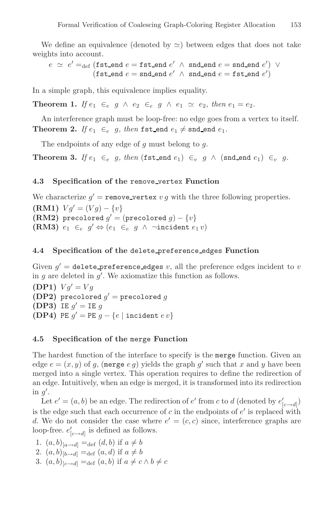We define an equivalence (denoted by  $\simeq$ ) between edges that does not take weights into account.

 $e \ \simeq \ e' =_{\mathrm{def}} (\mathtt{fst\_end}\ e = \mathtt{fst\_end}\ e' \ \land \ \mathtt{snd\_end}\ e = \mathtt{snd\_end}\ e') \ \lor$  $(\texttt{fst\_end}~e = \texttt{snd\_end}~e' \ \wedge \ \texttt{snd\_end}~e' )$ 

In a simple graph, this equivalence implies equality.

**Theorem 1.** If  $e_1 \in_e g \land e_2 \in_e g \land e_1 \simeq e_2$ , then  $e_1 = e_2$ .

An interference graph must be loop-free: no edge goes from a vertex to itself. **Theorem 2.** If  $e_1 \n\in e_1$  a, then first end  $e_1 \neq$  snd end  $e_1$ .

The endpoints of any edge of  $g$  must belong to  $g$ .

Theorem 3. If  $e_1 \n\in_e g$ , then (fst\_end  $e_1$ )  $\in_v g \wedge$  (snd\_end  $e_1$ )  $\in_v g$ .

#### 4.3 Specification of the remove vertex Function

We characterize  $g'$  = remove vertex  $vg$  with the three following properties. (RM1)  $Vg' = (Vg) - \{v\}$ (RM2) precolored  $g' = (precolored g) - \{v\}$ (RM3)  $e_1 \in_e g' \Leftrightarrow (e_1 \in_e g \wedge \neg \text{incident } e_1 v)$ 

#### 4.4 Specification of the delete preference edges Function

Given  $g'$  = delete preference edges v, all the preference edges incident to v in  $g$  are deleted in  $g'$ . We axiomatize this function as follows.

(DP1)  $Vg' = Vg$ (DP2) precolored  $g'$  = precolored  $g$ (DP3) IE  $g' = \text{IE } g$ (DP4) PE  $g' = PE \ g - \{e \mid \text{incident } e v\}$ 

#### 4.5 Specification of the merge Function

The hardest function of the interface to specify is the merge function. Given an edge  $e = (x, y)$  of g, (merge eg) yields the graph g' such that x and y have been merged into a single vertex. This operation requires to define the redirection of an edge. Intuitively, when an edge is merged, it is transformed into its redirection in  $g'$ .

Let  $e' = (a, b)$  be an edge. The redirection of  $e'$  from c to d (denoted by  $e'_{[c \to d]}$ ) is the edge such that each occurrence of  $c$  in the endpoints of  $e'$  is replaced with d. We do not consider the case where  $e' = (c, c)$  since, interference graphs are loop-free.  $e'_{[c \to d]}$  is defined as follows.

1.  $(a, b)_{[a \rightarrow d]} = \text{def}(d, b)$  if  $a \neq b$ 2.  $(a, b)_{[b \rightarrow d]} =_{def} (a, d)$  if  $a \neq b$ 3.  $(a, b)_{[c \to d]} = \text{def } (a, b)$  if  $a \neq c \land b \neq c$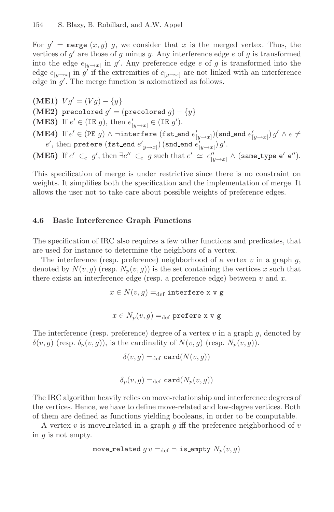For  $g'$  = merge  $(x, y)$  g, we consider that x is the merged vertex. Thus, the vertices of  $g'$  are those of  $g$  minus  $y$ . Any interference edge  $e$  of  $g$  is transformed into the edge  $e_{[y\rightarrow x]}$  in g'. Any preference edge e of g is transformed into the edge  $e_{[y\rightarrow x]}$  in  $g'$  if the extremities of  $e_{[y\rightarrow x]}$  are not linked with an interference edge in  $g'$ . The merge function is axiomatized as follows.

(ME1)  $Vq' = (Vq) - \{y\}$ (ME2) precolored  $g' = (precolored g) - \{y\}$ (ME3) If  $e' \in (IE g)$ , then  $e'_{[y \to x]} \in (IE g')$ . (ME4) If  $e' \in (\texttt{PE}\ g) \land \neg \texttt{interface}$  (fst\_end  $e'_{[y \to x]}) (\texttt{snd}\ e'_{[y \to x]})\ g' \land e \neq 0$  $e',$  then prefere (fst\_end  $e'_{[y \to x]})$  (snd\_end  $e'_{[y \to x]})\, g'.$ (ME5) If  $e' \in_{e} g'$ , then  $\exists e'' \in_{e} g$  such that  $e' \simeq e''_{[y \to x]} \wedge (\text{same_type e}' e'')$ .

This specification of merge is under restrictive since there is no constraint on weights. It simplifies both the specification and the implementation of merge. It allows the user not to take care about possible weights of preference edges.

#### 4.6 Basic Interference Graph Functions

The specification of IRC also requires a few other functions and predicates, that are used for instance to determine the neighbors of a vertex.

The interference (resp. preference) neighborhood of a vertex  $v$  in a graph  $g$ , denoted by  $N(v, g)$  (resp.  $N_p(v, g)$ ) is the set containing the vertices x such that there exists an interference edge (resp. a preference edge) between  $v$  and  $x$ .

$$
x \in N(v, g) =_{\text{def}} \text{interface } x \text{ v } g
$$

$$
x\in N_p(v,g) =_{\text{def}} \text{prefere } x \text{ v } g
$$

The interference (resp. preference) degree of a vertex  $v$  in a graph  $g$ , denoted by  $\delta(v, g)$  (resp.  $\delta_p(v, g)$ ), is the cardinality of  $N(v, g)$  (resp.  $N_p(v, g)$ ).

 $\delta(v, q) =_{\text{def}} \text{card}(N(v, q))$ 

$$
\delta_p(v,g) =_{\text{def}} \text{card}(N_p(v,g))
$$

The IRC algorithm heavily relies on move-relationship and interference degrees of the vertices. Hence, we have to define move-related and low-degree vertices. Both of them are defined as functions yielding booleans, in order to be computable.

A vertex v is move related in a graph g iff the preference neighborhood of v in  $q$  is not empty.

$$
\texttt{move\_related}\; g\, v =_{\text{def}} \neg \; \texttt{is\_empty}\; N_p(v,g)
$$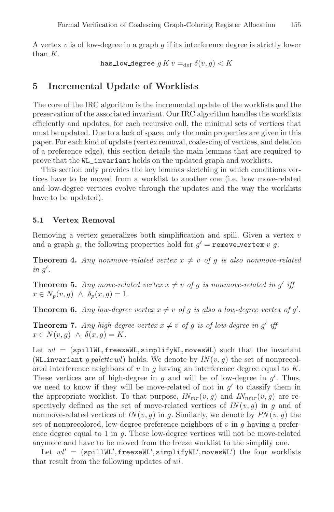A vertex  $v$  is of low-degree in a graph  $q$  if its interference degree is strictly lower than K.

has low degree  $g K v =_{def} \delta(v, g) < K$ 

## 5 Incremental Update of Worklists

The core of the IRC algorithm is the incremental update of the worklists and the preservation of the associated invariant. Our IRC algorithm handles the worklists efficiently and updates, for each recursive call, the minimal sets of vertices that must be updated. Due to a lack of space, only the main properties are given in this paper. For each kind of update (vertex removal, coalescing of vertices, and deletion of a preference edge), this section details the main lemmas that are required to prove that the WL\_invariant holds on the updated graph and worklists.

This section only provides the key lemmas sketching in which conditions vertices have to be moved from a worklist to another one (i.e. how move-related and low-degree vertices evolve through the updates and the way the worklists have to be updated).

#### 5.1 Vertex Removal

Removing a vertex generalizes both simplification and spill. Given a vertex  $v$ and a graph g, the following properties hold for  $g' = \texttt{remove\_vertex} \ v \ g$ .

**Theorem 4.** Any nonmove-related vertex  $x \neq v$  of g is also nonmove-related in  $g'$ .

**Theorem 5.** Any move-related vertex  $x \neq v$  of g is nonmove-related in g' iff  $x \in N_p(v, g) \land \delta_p(x, g) = 1.$ 

**Theorem 6.** Any low-degree vertex  $x \neq v$  of g is also a low-degree vertex of g'.

**Theorem 7.** Any high-degree vertex  $x \neq v$  of g is of low-degree in g' iff  $x \in N(v, g) \land \delta(x, g) = K.$ 

Let  $wl =$  (spillWL, freezeWL, simplifyWL, movesWL) such that the invariant (WL invariant g palette wl) holds. We denote by  $IN(v, g)$  the set of nonprecolored interference neighbors of v in g having an interference degree equal to  $K$ . These vertices are of high-degree in  $g$  and will be of low-degree in  $g'$ . Thus, we need to know if they will be move-related of not in  $g'$  to classify them in the appropriate worklist. To that purpose,  $IN_{mr}(v, q)$  and  $IN_{mm}(v, q)$  are respectively defined as the set of move-related vertices of  $IN(v, g)$  in g and of nonmove-related vertices of  $IN(v, g)$  in g. Similarly, we denote by  $PN(v, g)$  the set of nonprecolored, low-degree preference neighbors of  $v$  in  $g$  having a preference degree equal to 1 in g. These low-degree vertices will not be move-related anymore and have to be moved from the freeze worklist to the simplify one.

Let  $wl' =$  (spillWL', freezeWL', simplifyWL', movesWL') the four worklists that result from the following updates of wl.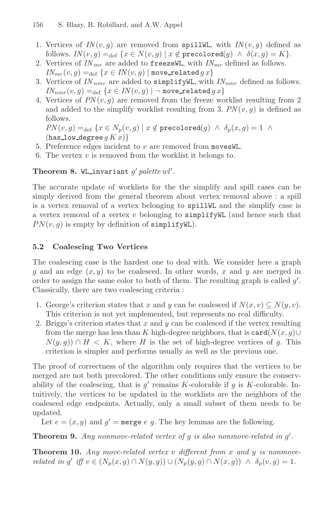- 1. Vertices of  $IN(v, q)$  are removed from spillWL, with  $IN(v, q)$  defined as follows.  $IN(v, g) =_{def} \{x \in N(v, g) \mid x \notin \text{precolored}(g) \land \delta(x, g) = K\}.$
- 2. Vertices of  $IN_{mr}$  are added to freezeWL, with  $IN_{mr}$  defined as follows.  $IN_{mr}(v, g) =_{\text{def}} \{x \in IN(v, g) \mid \text{move related } g x\}$
- 3. Vertices of  $IN_{nmr}$  are added to simplifyWL, with  $IN_{nmr}$  defined as follows.  $IN_{nmr}(v, g) =_{\text{def}} \{x \in IN(v, g) \mid \neg \text{ move related } g x\}$
- <span id="page-12-0"></span>4. Vertices of  $PN(v, g)$  are removed from the freeze worklist resulting from 2 and added to the simplify worklist resulting from 3.  $PN(v, g)$  is defined as follows.

 $PN(v, g) =_{\text{def}} \{x \in N_p(v, g) \mid x \notin \text{precolored}(g) \land \delta_p(x, g) = 1 \land$ (has low degree  $q K x$ )}

- 5. Preference edges incident to v are removed from movesWL.
- 6. The vertex  $v$  is removed from the worklist it belongs to.

## Theorem 8. WL invariant  $g'$  palette  $wl'$ .

The accurate update of worklists for the the simplify and spill cases can be simply derived from the general theorem about vertex removal above : a spill is a vertex removal of a vertex belonging to spillWL and the simplify case is a vertex removal of a vertex v belonging to  $\text{simplify}\mathbb{U}$  (and hence such that  $PN(v, g)$  is empty by definition of simplifyWL).

## 5.2 Coalescing Two Vertices

The coalescing case is the hardest one to deal with. We consider here a graph q and an edge  $(x, y)$  to be coalesced. In other words, x and y are merged in order to assign the same color to both of them. The resulting graph is called  $g'$ . Classically, there are two coalescing criteria :

- 1. George's criterion states that x and y can be coalesced if  $N(x, v) \subseteq N(y, v)$ . This criterion is not yet implemented, but represents no real difficulty.
- 2. Briggs's criterion states that x and y can be coalesced if the vertex resulting from the merge has less than K high-degree neighbors, that is card $(N(x, g) \cup$  $N(y, g)$   $\cap$  H  $\lt$  K, where H is the set of high-degree vertices of g. This criterion is simpler and performs usually as well as the previous one.

The proof of correctness of the algorithm only requires that the vertices to be merged are not both precolored. The other conditions only ensure the conservability of the coalescing, that is  $g'$  remains K-colorable if  $g$  is K-colorable. Intuitively, the vertices to be updated in the worklists are the neighbors of the coalesced edge endpoints. Actually, only a small subset of them needs to be updated.

Let  $e = (x, y)$  and  $g' = \text{merge } e \ g$ . The key lemmas are the following.

**Theorem 9.** Any nonmove-related vertex of  $g$  is also nonmove-related in  $g'$ .

**Theorem 10.** Any move-related vertex v different from x and y is nonmoverelated in g' iff  $v \in (N_p(x,g) \cap N(y,g)) \cup (N_p(y,g) \cap N(x,g)) \land \delta_p(v,g) = 1.$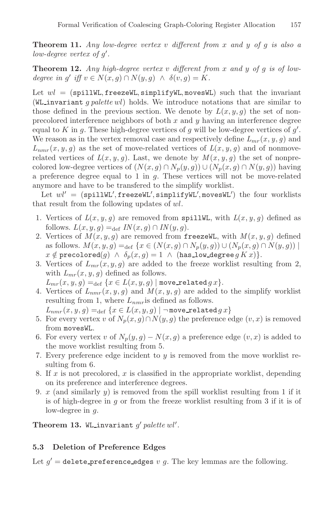**Theorem 11.** Any low-degree vertex v different from x and y of q is also a low-degree vertex of  $g'$ .

**Theorem 12.** Any high-degree vertex v different from x and y of q is of lowdegree in g' iff  $v \in N(x,g) \cap N(y,g) \land \delta(v,g) = K$ .

Let  $wl =$  (spillWL, freezeWL, simplifyWL, movesWL) such that the invariant (WL invariant  $g$  palette wl) holds. We introduce notations that are similar to those defined in the previous section. We denote by  $L(x, y, g)$  the set of nonprecolored interference neighbors of both  $x$  and  $y$  having an interference degree equal to K in g. These high-degree vertices of g will be low-degree vertices of  $g'$ . We reason as in the vertex removal case and respectively define  $L_{mr}(x, y, q)$  and  $L_{nmr}(x, y, g)$  as the set of move-related vertices of  $L(x, y, g)$  and of nonmoverelated vertices of  $L(x, y, g)$ . Last, we denote by  $M(x, y, g)$  the set of nonprecolored low-degree vertices of  $(N(x, g) \cap N_p(y, g)) \cup (N_p(x, g) \cap N(y, g))$  having a preference degree equal to  $1$  in  $g$ . These vertices will not be move-related anymore and have to be transfered to the simplify worklist.

Let  $wl' =$  (spillWL', freezeWL', simplifyWL', movesWL') the four worklists that result from the following updates of wl.

- 1. Vertices of  $L(x, y, g)$  are removed from spillWL, with  $L(x, y, g)$  defined as follows.  $L(x, y, g) =_{def} IN(x, g) \cap IN(y, g)$ .
- 2. Vertices of  $M(x, y, q)$  are removed from freezeWL, with  $M(x, y, q)$  defined as follows.  $M(x, y, q) =_{def} \{x \in (N(x, q) \cap N_p(y, q)) \cup (N_p(x, q) \cap N(y, q))\}\$  $x \notin \text{precolored}(g) \ \wedge \ \delta_p(x,g) = 1 \ \wedge \ \text{(has low-degree } g \, K \, x) \}.$
- 3. Vertices of  $L_{mr}(x, y, g)$  are added to the freeze worklist resulting from 2, with  $L_{mr}(x, y, q)$  defined as follows.

 $L_{mr}(x, y, g) =_{\text{def}} \{x \in L(x, y, g) \mid \text{move-related } g x\}.$ 

4. Vertices of  $L_{nmr}(x, y, g)$  and  $M(x, y, g)$  are added to the simplify worklist resulting from 1, where  $L_{nmr}$  is defined as follows.

 $L_{nmr}(x, y, g) =_{\text{def}} \{x \in L(x, y, g) \mid \neg \text{move related } g x\}$ 

- 5. For every vertex v of  $N_p(x, g) \cap N(y, g)$  the preference edge  $(v, x)$  is removed from movesWL.
- 6. For every vertex v of  $N_p(y, g) N(x, g)$  a preference edge  $(v, x)$  is added to the move worklist resulting from 5.
- <span id="page-13-0"></span>7. Every preference edge incident to  $y$  is removed from the move worklist resulting from 6.
- 8. If  $x$  is not precolored,  $x$  is classified in the appropriate worklist, depending on its preference and interference degrees.
- 9. x (and similarly  $y$ ) is removed from the spill worklist resulting from 1 if it is of high-degree in  $q$  or from the freeze worklist resulting from 3 if it is of low-degree in  $g$ .

Theorem 13. WL invariant  $g'$  palette  $wl'$ .

### 5.3 Deletion of Preference Edges

Let  $g'$  = delete preference edges v g. The key lemmas are the following.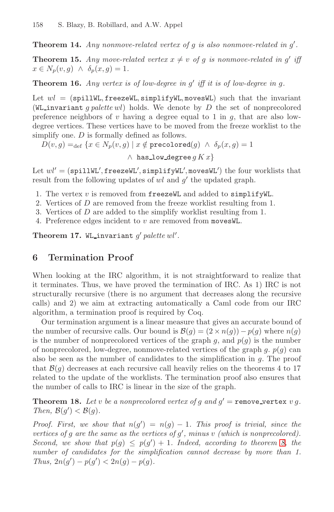**Theorem 14.** Any nonmove-related vertex of  $g$  is also nonmove-related in  $g'$ .

**Theorem 15.** Any move-related vertex  $x \neq v$  of g is nonmove-related in g' iff  $x \in N_p(v, g) \land \delta_p(x, g) = 1.$ 

**Theorem 16.** Any vertex is of low-degree in  $g'$  iff it is of low-degree in  $g$ .

Let  $wl =$  (spillWL, freezeWL, simplifyWL, movesWL) such that the invariant (WL invariant g palette wl) holds. We denote by  $D$  the set of nonprecolored preference neighbors of v having a degree equal to 1 in q, that are also lowdegree vertices. These vertices have to be moved from the freeze worklist to the simplify one. D is formally defined as follows.

<span id="page-14-0"></span> $D(v, g) =_{\text{def}} \{x \in N_p(v, g) \mid x \notin \text{precolored}(g) \; \wedge \; \delta_p(x, g) = 1\}$  $\wedge$  has low degree  $g K x$ }

Let  $wl' = (splitWL', freezeWL', simplifyWL', movesWL')$  the four worklists that result from the following updates of  $wl$  and  $g'$  the updated graph.

- 1. The vertex  $v$  is removed from freezeWL and added to simplifyWL.
- 2. Vertices of D are removed from the freeze worklist resulting from 1.
- 3. Vertices of D are added to the simplify worklist resulting from 1.
- 4. Preference edges incident to v are removed from movesWL.

Theorem 17. WL invariant  $g'$  palette  $wl'$ .

## 6 Termination Proof

When looking at the IRC algorithm, it is not straightforward to realize that it terminates. Thus, we have proved the termination of IRC. As 1) IRC is not structurally recursive (there is no argument that decreases along the recursive calls) and 2) we aim at extracting automatically a Caml code from our IRC algorithm, a termination proof is required by Coq.

Our termination argument is a linear measure that gives an accurate bound of the number of recursive calls. Our bound is  $\mathcal{B}(g) = (2 \times n(g)) - p(g)$  where  $n(g)$ is the number of nonprecolored vertices of the graph  $q$ , and  $p(q)$  is the number of nonprecolored, low-degree, nonmove-related vertices of the graph g.  $p(g)$  can also be seen as the number of candidates to the simplification in  $g$ . The proof that  $\mathcal{B}(q)$  decreases at each recursive call heavily relies on the theorems 4 to 17 related to the update of the worklists. The termination proof also ensures that the number of calls to IRC is linear in the size of the graph.

**Theorem 18.** Let v be a nonprecolored vertex of g and  $g'$  = remove vertex vg. Then,  $\mathcal{B}(g') < \mathcal{B}(g)$ .

Proof. First, we show that  $n(g') = n(g) - 1$ . This proof is trivial, since the vertices of g are the same as the vertices of  $g'$ , minus v (which is nonprecolored). Second, we show that  $p(g) \leq p(g') + 1$ . Indeed, according to theorem [8,](#page-12-0) the number of candidates for the simplification cannot decrease by more than 1.  $Thus, 2n(g') - p(g') < 2n(g) - p(g).$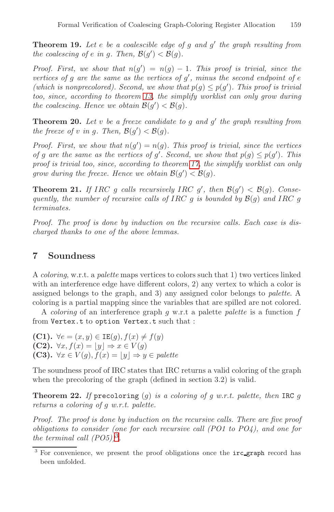**Theorem 19.** Let  $e$  be a coalescible edge of  $g$  and  $g'$  the graph resulting from the coalescing of e in g. Then,  $\mathcal{B}(g') < \mathcal{B}(g)$ .

Proof. First, we show that  $n(g') = n(g) - 1$ . This proof is trivial, since the vertices of  $g$  are the same as the vertices of  $g'$ , minus the second endpoint of  $e$ (which is nonprecolored). Second, we show that  $p(g) \leq p(g')$ . This proof is trivial too, since, according to theorem [13,](#page-13-0) the simplify worklist can only grow during the coalescing. Hence we obtain  $\mathcal{B}(g') < \mathcal{B}(g)$ .

**Theorem 20.** Let  $v$  be a freeze candidate to  $g$  and  $g'$  the graph resulting from the freeze of v in g. Then,  $\mathcal{B}(g') < \mathcal{B}(g)$ .

Proof. First, we show that  $n(g') = n(g)$ . This proof is trivial, since the vertices of g are the same as the vertices of g'. Second, we show that  $p(g) \leq p(g')$ . This proof is trivial too, since, according to theorem [17,](#page-14-0) the simplify worklist can only grow during the freeze. Hence we obtain  $\mathcal{B}(g') < \mathcal{B}(g)$ .

**Theorem 21.** If IRC g calls recursively IRC  $g'$ , then  $\mathcal{B}(g') < \mathcal{B}(g)$ . Consequently, the number of recursive calls of IRC g is bounded by  $\mathcal{B}(g)$  and IRC g terminates.

Proof. The proof is done by induction on the recursive calls. Each case is discharged thanks to one of the above lemmas.

## 7 Soundness

A coloring, w.r.t. a palette maps vertices to colors such that 1) two vertices linked with an interference edge have different colors, 2) any vertex to which a color is assigned belongs to the graph, and 3) any assigned color belongs to palette. A coloring is a partial mapping since the variables that are spilled are not colored.

A coloring of an interference graph q w.r.t a palette palette is a function  $f$ from Vertex.t to option Vertex.t such that :

(C1).  $\forall e = (x, y) \in \text{IE}(g), f(x) \neq f(y)$ (C2).  $\forall x, f(x) = |y| \Rightarrow x \in V(g)$ (C3).  $\forall x \in V(q)$ ,  $f(x) = |y| \Rightarrow y \in \text{valette}$ 

The soundness proof of IRC states that IRC returns a valid coloring of the graph when the precoloring of the graph (defined in section 3.2) is valid.

<span id="page-15-0"></span>**Theorem 22.** If precoloring  $(q)$  is a coloring of q w.r.t. palette, then IRC q returns a coloring of g w.r.t. palette.

Proof. The proof is done by induction on the recursive calls. There are five proof obligations to consider (one for each recursive call (PO1 to PO4), and one for the terminal call  $(PO5))^3$  $(PO5))^3$ .

<sup>3</sup> For convenience, we present the proof obligations once the irc graph record has been unfolded.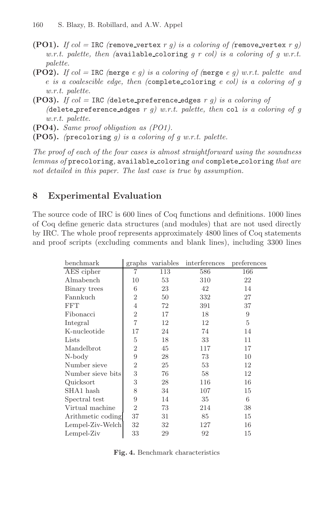- **(PO1).** If col = IRC (remove vertex r q) is a coloring of (remove vertex r q) w.r.t. palette, then (available coloring  $g r col$ ) is a coloring of  $g w.r.t.$ palette.
- **(PO2).** If col = IRC (merge e g) is a coloring of (merge e g) w.r.t. palette and e is a coalescible edge, then (complete coloring e col) is a coloring of g w.r.t. palette.
- (PO3). If  $col = \text{IRC}$  (delete preference edges r g) is a coloring of (delete preference edges  $r$  g) w.r.t. palette, then col is a coloring of g w.r.t. palette.
- (PO4). Same proof obligation as (PO1).
- **(PO5).** (precoloring q) is a coloring of q w.r.t. palette.

The proof of each of the four cases is almost straightforward using the soundness lemmas of precoloring, available coloring and complete coloring that are not detailed in this paper. The last case is true by assumption.

## 8 Experimental Evaluation

The source code of IRC is 600 lines of Coq functions and definitions. 1000 lines of Coq define generic data structures (and modules) that are not used directly by IRC. The whole proof represents approximately 4800 lines of Coq statements and proof scripts (excluding comments and blank lines), including 3300 lines

<span id="page-16-0"></span>

| benchmark         |                |     | graphs variables interferences | preferences |
|-------------------|----------------|-----|--------------------------------|-------------|
| AES cipher        | $\overline{7}$ | 113 | 586                            | 166         |
| Almabench         | 10             | 53  | 310                            | 22          |
| Binary trees      | 6              | 23  | 42                             | 14          |
| Fannkuch          | $\overline{2}$ | 50  | 332                            | 27          |
| <b>FFT</b>        | 4              | 72  | 391                            | 37          |
| Fibonacci         | $\overline{2}$ | 17  | 18                             | 9           |
| Integral          | $\overline{7}$ | 12  | 12                             | 5           |
| K-nucleotide      | 17             | 24  | 74                             | 14          |
| Lists             | 5              | 18  | 33                             | 11          |
| Mandelbrot        | $\overline{2}$ | 45  | 117                            | 17          |
| N-body            | 9              | 28  | 73                             | 10          |
| Number sieve      | $\overline{2}$ | 25  | 53                             | 12          |
| Number sieve bits | 3              | 76  | 58                             | 12          |
| Quicksort         | 3              | 28  | 116                            | 16          |
| SHA1 hash         | 8              | 34  | 107                            | 15          |
| Spectral test     | 9              | 14  | 35                             | 6           |
| Virtual machine   | $\overline{2}$ | 73  | 214                            | 38          |
| Arithmetic coding | 37             | 31  | 85                             | 15          |
| Lempel-Ziv-Welch  | 32             | 32  | 127                            | 16          |
| Lempel-Ziv        | 33             | 29  | 92                             | 15          |

Fig. 4. Benchmark characteristics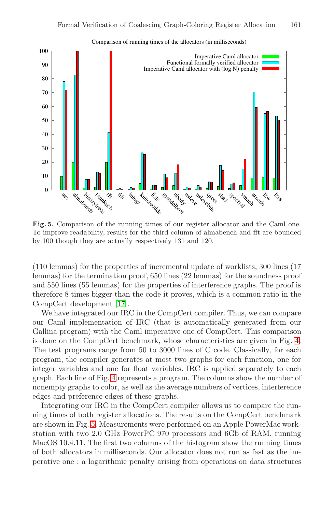

<span id="page-17-0"></span>Fig. 5. Comparison of the running times of our register allocator and the Caml one. To improve readability, results for the third column of almabench and fft are bounded by 100 though they are actually respectively 131 and 120.

(110 lemmas) for the properties of incremental update of worklists, 300 lines (17 lemmas) for the termination proof, 650 lines (22 lemmas) for the soundness proof and 550 lines (55 lemmas) for the properties of interference graphs. The proof is therefore 8 times bigger than the code it proves, which is a common ratio in the CompCert development [\[17\]](#page-20-8).

We have integrated our IRC in the CompCert compiler. Thus, we can compare our Caml implementation of IRC (that is automatically generated from our Gallina program) with the Caml imperative one of CompCert. This comparison is done on the CompCert benchmark, whose characteristics are given in Fig. [4.](#page-16-0) The test programs range from 50 to 3000 lines of C code. Classically, for each program, the compiler generates at most two graphs for each function, one for integer variables and one for float variables. IRC is applied separately to each graph. Each line of Fig. [4](#page-16-0) represents a program. The columns show the number of nonempty graphs to color, as well as the average numbers of vertices, interference edges and preference edges of these graphs.

Integrating our IRC in the CompCert compiler allows us to compare the running times of both register allocations. The results on the CompCert benchmark are shown in Fig. [5.](#page-17-0) Measurements were performed on an Apple PowerMac workstation with two 2.0 GHz PowerPC 970 processors and 6Gb of RAM, running MacOS 10.4.11. The first two columns of the histogram show the running times of both allocators in milliseconds. Our allocator does not run as fast as the imperative one : a logarithmic penalty arising from operations on data structures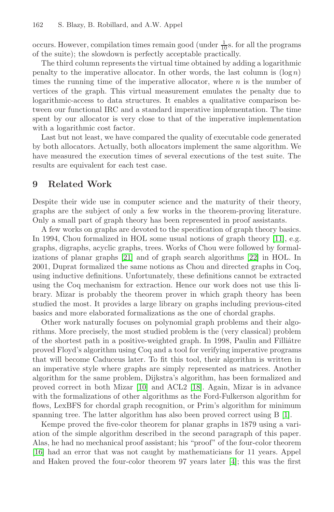occurs. However, compilation times remain good (under  $\frac{1}{10}$ s. for all the programs of the suite); the slowdown is perfectly acceptable practically.

The third column represents the virtual time obtained by adding a logarithmic penalty to the imperative allocator. In other words, the last column is  $(\log n)$ times the running time of the imperative allocator, where  $n$  is the number of vertices of the graph. This virtual measurement emulates the penalty due to logarithmic-access to data structures. It enables a qualitative comparison between our functional IRC and a standard imperative implementation. The time spent by our allocator is very close to that of the imperative implementation with a logarithmic cost factor.

Last but not least, we have compared the quality of executable code generated by both allocators. Actually, both allocators implement the same algorithm. We have measured the execution times of several executions of the test suite. The results are equivalent for each test case.

## 9 Related Work

Despite their wide use in computer science and the maturity of their theory, graphs are the subject of only a few works in the theorem-proving literature. Only a small part of graph theory has been represented in proof assistants.

A few works on graphs are devoted to the specification of graph theory basics. In 1994, Chou formalized in HOL some usual notions of graph theory [\[11\]](#page-20-13), e.g. graphs, digraphs, acyclic graphs, trees. Works of Chou were followed by formalizations of planar graphs [\[21\]](#page-20-14) and of graph search algorithms [\[22\]](#page-20-15) in HOL. In 2001, Duprat formalized the same notions as Chou and directed graphs in Coq, using inductive definitions. Unfortunately, these definitions cannot be extracted using the Coq mechanism for extraction. Hence our work does not use this library. Mizar is probably the theorem prover in which graph theory has been studied the most. It provides a large library on graphs including previous-cited basics and more elaborated formalizations as the one of chordal graphs.

Other work naturally focuses on polynomial graph problems and their algorithms. More precisely, the most studied problem is the (very classical) problem of the shortest path in a positive-weighted graph. In 1998, Paulin and Filliâtre proved Floyd's algorithm using Coq and a tool for verifying imperative programs that will become Caduceus later. To fit this tool, their algorithm is written in an imperative style where graphs are simply represented as matrices. Another algorithm for the same problem, Dijkstra's algorithm, has been formalized and proved correct in both Mizar [\[10\]](#page-20-16) and ACL2 [\[18\]](#page-20-17). Again, Mizar is in advance with the formalizations of other algorithms as the Ford-Fulkerson algorithm for flows, LexBFS for chordal graph recognition, or Prim's algorithm for minimum spanning tree. The latter algorithm has also been proved correct using B [\[1\]](#page-19-1).

Kempe proved the five-color theorem for planar graphs in 1879 using a variation of the simple algorithm described in the second paragraph of this paper. Alas, he had no mechanical proof assistant; his "proof" of the four-color theorem [\[16\]](#page-20-18) had an error that was not caught by mathematicians for 11 years. Appel and Haken proved the four-color theorem 97 years later [\[4\]](#page-20-12); this was the first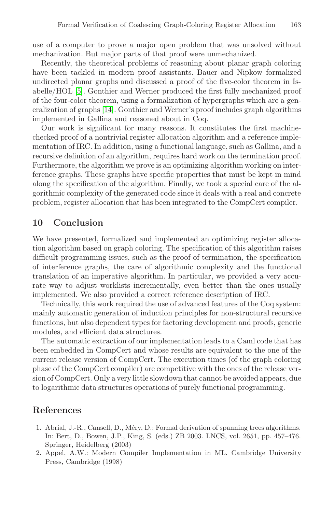use of a computer to prove a major open problem that was unsolved without mechanization. But major parts of that proof were unmechanized.

Recently, the theoretical problems of reasoning about planar graph coloring have been tackled in modern proof assistants. Bauer and Nipkow formalized undirected planar graphs and discussed a proof of the five-color theorem in Isabelle/HOL [\[5\]](#page-20-20). Gonthier and Werner produced the first fully mechanized proof of the four-color theorem, using a formalization of hypergraphs which are a generalization of graphs [\[14\]](#page-20-19). Gonthier and Werner's proof includes graph algorithms implemented in Gallina and reasoned about in Coq.

Our work is significant for many reasons. It constitutes the first machinechecked proof of a nontrivial register allocation algorithm and a reference implementation of IRC. In addition, using a functional language, such as Gallina, and a recursive definition of an algorithm, requires hard work on the termination proof. Furthermore, the algorithm we prove is an optimizing algorithm working on interference graphs. These graphs have specific properties that must be kept in mind along the specification of the algorithm. Finally, we took a special care of the algorithmic complexity of the generated code since it deals with a real and concrete problem, register allocation that has been integrated to the CompCert compiler.

## 10 Conclusion

We have presented, formalized and implemented an optimizing register allocation algorithm based on graph coloring. The specification of this algorithm raises difficult programming issues, such as the proof of termination, the specification of interference graphs, the care of algorithmic complexity and the functional translation of an imperative algorithm. In particular, we provided a very accurate way to adjust worklists incrementally, even better than the ones usually implemented. We also provided a correct reference description of IRC.

Technically, this work required the use of advanced features of the Coq system: mainly automatic generation of induction principles for non-structural recursive functions, but also dependent types for factoring development and proofs, generic modules, and efficient data structures.

<span id="page-19-1"></span>The automatic extraction of our implementation leads to a Caml code that has been embedded in CompCert and whose results are equivalent to the one of the current release version of CompCert. The execution times (of the graph coloring phase of the CompCert compiler) are competitive with the ones of the release version of CompCert. Only a very little slowdown that cannot be avoided appears, due to logarithmic data structures operations of purely functional programming.

## <span id="page-19-0"></span>References

- 1. Abrial, J.-R., Cansell, D., Méry, D.: Formal derivation of spanning trees algorithms. In: Bert, D., Bowen, J.P., King, S. (eds.) ZB 2003. LNCS, vol. 2651, pp. 457–476. Springer, Heidelberg (2003)
- 2. Appel, A.W.: Modern Compiler Implementation in ML. Cambridge University Press, Cambridge (1998)